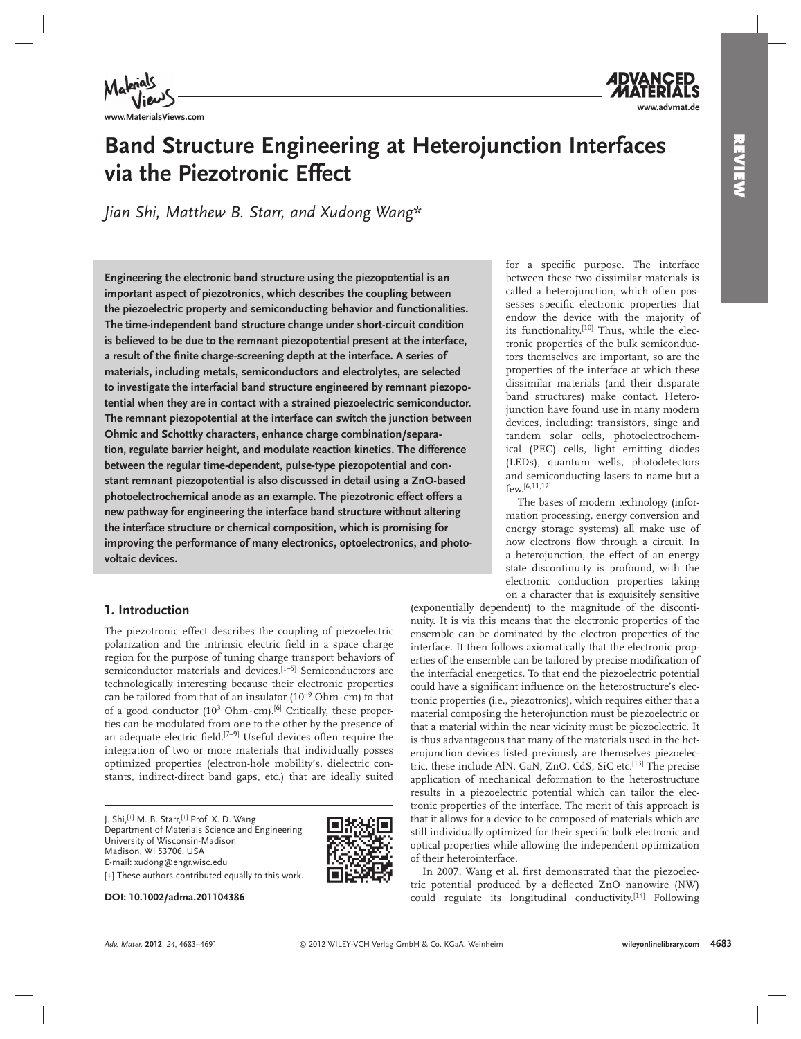



 **Band Structure Engineering at Heterojunction Interfaces via the Piezotronic Effect** 

 *Jian Shi , Matthew B. Starr , and Xudong Wang \** 

 **Engineering the electronic band structure using the piezopotential is an important aspect of piezotronics, which describes the coupling between the piezoelectric property and semiconducting behavior and functionalities. The time-independent band structure change under short-circuit condition is believed to be due to the remnant piezopotential present at the interface,**  a result of the finite charge-screening depth at the interface. A series of **materials, including metals, semiconductors and electrolytes, are selected to investigate the interfacial band structure engineered by remnant piezopotential when they are in contact with a strained piezoelectric semiconductor. The remnant piezopotential at the interface can switch the junction between Ohmic and Schottky characters, enhance charge combination/separation, regulate barrier height, and modulate reaction kinetics. The difference between the regular time-dependent, pulse-type piezopotential and constant remnant piezopotential is also discussed in detail using a ZnO-based photoelectrochemical anode as an example. The piezotronic effect offers a new pathway for engineering the interface band structure without altering the interface structure or chemical composition, which is promising for improving the performance of many electronics, optoelectronics, and photovoltaic devices.** 

# **1. Introduction**

 The piezotronic effect describes the coupling of piezoelectric polarization and the intrinsic electric field in a space charge region for the purpose of tuning charge transport behaviors of semiconductor materials and devices.<sup>[1-5]</sup> Semiconductors are technologically interesting because their electronic properties can be tailored from that of an insulator ( $10^{-9}$  Ohm $\cdot$ cm) to that of a good conductor  $(10^3 \text{ Ohm} \cdot \text{cm})$ .<sup>[6]</sup> Critically, these properties can be modulated from one to the other by the presence of an adequate electric field.<sup>[7-9]</sup> Useful devices often require the integration of two or more materials that individually posses optimized properties (electron-hole mobility's, dielectric constants, indirect-direct band gaps, etc.) that are ideally suited

J. Shi, <a>I+1</a> M. B. Starr,<a>I+1</a> Prof. X. D. Wang Department of Materials Science and Engineering University of Wisconsin-Madison Madison, WI 53706, USA E-mail: xudong@engr.wisc.edu [+] These authors contributed equally to this work.



 **DOI: 10.1002/adma.201104386** 

for a specific purpose. The interface between these two dissimilar materials is called a heterojunction, which often possesses specific electronic properties that endow the device with the majority of its functionality.<sup>[10]</sup> Thus, while the electronic properties of the bulk semiconductors themselves are important, so are the properties of the interface at which these dissimilar materials (and their disparate band structures) make contact. Heterojunction have found use in many modern devices, including: transistors, singe and tandem solar cells, photoelectrochemical (PEC) cells, light emitting diodes (LEDs), quantum wells, photodetectors and semiconducting lasers to name but a few. [6,11,12]

 The bases of modern technology (information processing, energy conversion and energy storage systems) all make use of how electrons flow through a circuit. In a heterojunction, the effect of an energy state discontinuity is profound, with the electronic conduction properties taking on a character that is exquisitely sensitive

(exponentially dependent) to the magnitude of the discontinuity. It is via this means that the electronic properties of the ensemble can be dominated by the electron properties of the interface. It then follows axiomatically that the electronic properties of the ensemble can be tailored by precise modification of the interfacial energetics. To that end the piezoelectric potential could have a significant influence on the heterostructure's electronic properties (i.e., piezotronics), which requires either that a material composing the heterojunction must be piezoelectric or that a material within the near vicinity must be piezoelectric. It is thus advantageous that many of the materials used in the heterojunction devices listed previously are themselves piezoelectric, these include AlN, GaN, ZnO, CdS, SiC etc.<sup>[13]</sup> The precise application of mechanical deformation to the heterostructure results in a piezoelectric potential which can tailor the electronic properties of the interface. The merit of this approach is that it allows for a device to be composed of materials which are still individually optimized for their specific bulk electronic and optical properties while allowing the independent optimization of their heterointerface.

In 2007, Wang et al. first demonstrated that the piezoelectric potential produced by a deflected ZnO nanowire (NW) could regulate its longitudinal conductivity.<sup>[14]</sup> Following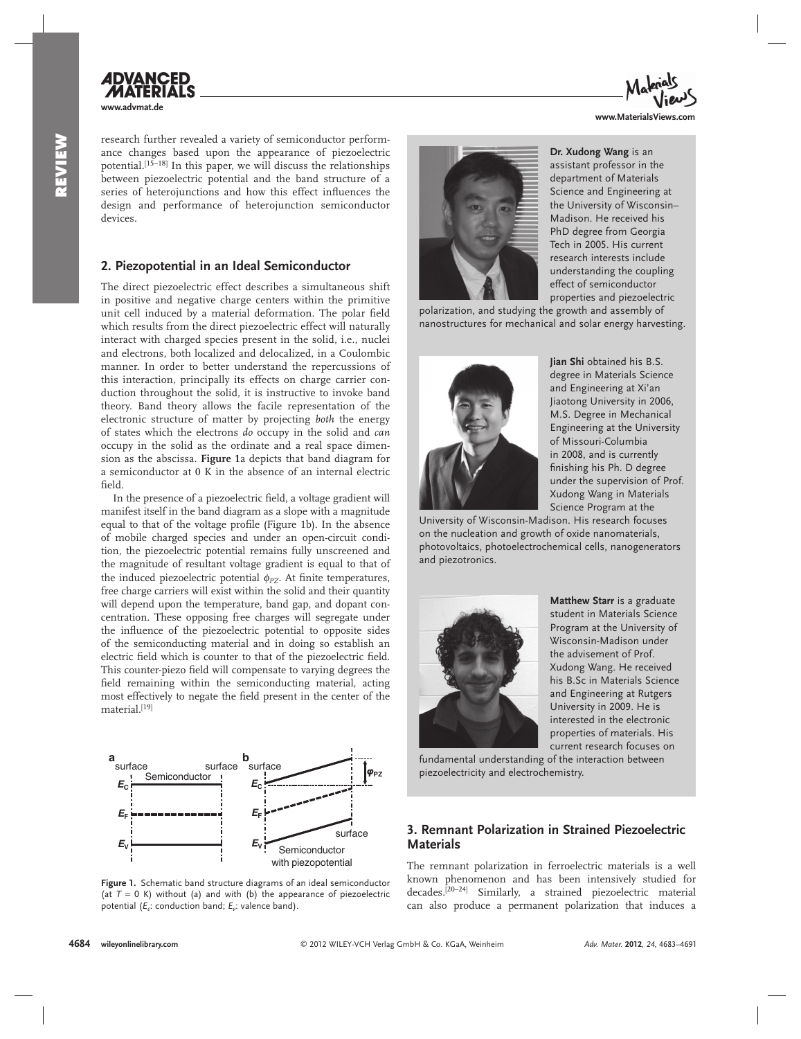

research further revealed a variety of semiconductor performance changes based upon the appearance of piezoelectric potential.<sup>[15–18]</sup> In this paper, we will discuss the relationships between piezoelectric potential and the band structure of a series of heterojunctions and how this effect influences the design and performance of heterojunction semiconductor devices.

# **2. Piezopotential in an Ideal Semiconductor**

 The direct piezoelectric effect describes a simultaneous shift in positive and negative charge centers within the primitive unit cell induced by a material deformation. The polar field which results from the direct piezoelectric effect will naturally interact with charged species present in the solid, i.e., nuclei and electrons, both localized and delocalized, in a Coulombic manner. In order to better understand the repercussions of this interaction, principally its effects on charge carrier conduction throughout the solid, it is instructive to invoke band theory. Band theory allows the facile representation of the electronic structure of matter by projecting *both* the energy of states which the electrons *do* occupy in the solid and *can* occupy in the solid as the ordinate and a real space dimension as the abscissa. **Figure 1a** depicts that band diagram for a semiconductor at 0 K in the absence of an internal electric field.

In the presence of a piezoelectric field, a voltage gradient will manifest itself in the band diagram as a slope with a magnitude equal to that of the voltage profile (Figure 1b). In the absence of mobile charged species and under an open-circuit condition, the piezoelectric potential remains fully unscreened and the magnitude of resultant voltage gradient is equal to that of the induced piezoelectric potential  $\phi_{PZ}$ . At finite temperatures, free charge carriers will exist within the solid and their quantity will depend upon the temperature, band gap, and dopant concentration. These opposing free charges will segregate under the influence of the piezoelectric potential to opposite sides of the semiconducting material and in doing so establish an electric field which is counter to that of the piezoelectric field. This counter-piezo field will compensate to varying degrees the field remaining within the semiconducting material, acting most effectively to negate the field present in the center of the material.[19]



Figure 1. Schematic band structure diagrams of an ideal semiconductor (at  $T = 0$  K) without (a) and with (b) the appearance of piezoelectric potential ( $E_c$ : conduction band;  $E_v$ : valence band).



**Dr. Xudong Wang** is an assistant professor in the department of Materials Science and Engineering at the University of Wisconsin– Madison. He received his PhD degree from Georgia Tech in 2005. His current research interests include understanding the coupling effect of semiconductor properties and piezoelectric

polarization, and studying the growth and assembly of nanostructures for mechanical and solar energy harvesting.



**Jian Shi** obtained his B.S. degree in Materials Science and Engineering at Xi'an Jiaotong University in 2006, M.S. Degree in Mechanical Engineering at the University of Missouri-Columbia in 2008, and is currently finishing his Ph. D degree under the supervision of Prof. Xudong Wang in Materials Science Program at the

University of Wisconsin-Madison. His research focuses on the nucleation and growth of oxide nanomaterials, photovoltaics, photoelectrochemical cells, nanogenerators and piezotronics.



**Matthew Starr** is a graduate student in Materials Science Program at the University of Wisconsin-Madison under the advisement of Prof. Xudong Wang. He received his B.Sc in Materials Science and Engineering at Rutgers University in 2009. He is interested in the electronic properties of materials. His current research focuses on

fundamental understanding of the interaction between piezoelectricity and electrochemistry.

#### **3. Remnant Polarization in Strained Piezoelectric Materials**

 The remnant polarization in ferroelectric materials is a well known phenomenon and has been intensively studied for decades.<sup>[20-24]</sup> Similarly, a strained piezoelectric material can also produce a permanent polarization that induces a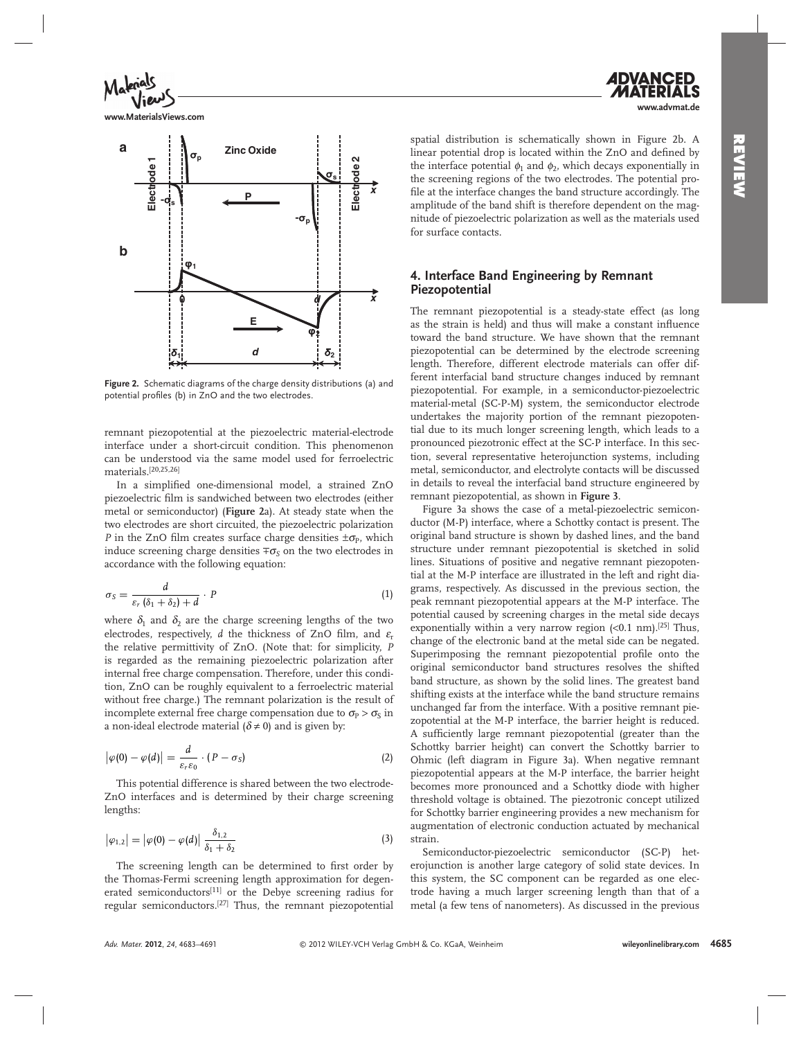

**www.MaterialsViews.com**



**Figure 2.** Schematic diagrams of the charge density distributions (a) and potential profiles (b) in ZnO and the two electrodes.

remnant piezopotential at the piezoelectric material-electrode interface under a short-circuit condition. This phenomenon can be understood via the same model used for ferroelectric materials. [20,25,26]

In a simplified one-dimensional model, a strained ZnO piezoelectric film is sandwiched between two electrodes (either metal or semiconductor) (Figure 2a). At steady state when the two electrodes are short circuited, the piezoelectric polarization *P* in the ZnO film creates surface charge densities  $\pm \sigma_p$ , which induce screening charge densities  $\pm \sigma_s$  on the two electrodes in accordance with the following equation:

$$
\sigma_S = \frac{d}{\varepsilon_r \left( \delta_1 + \delta_2 \right) + d} \cdot P \tag{1}
$$

where  $\delta_1$  and  $\delta_2$  are the charge screening lengths of the two electrodes, respectively, *d* the thickness of ZnO film, and  $\varepsilon$ the relative permittivity of ZnO. (Note that: for simplicity, *P* is regarded as the remaining piezoelectric polarization after internal free charge compensation. Therefore, under this condition, ZnO can be roughly equivalent to a ferroelectric material without free charge.) The remnant polarization is the result of incomplete external free charge compensation due to  $\sigma_{\rm P} > \sigma_{\rm S}$  in a non-ideal electrode material ( $\delta \neq 0$ ) and is given by:

$$
\left|\varphi(0)-\varphi(d)\right|=\frac{d}{\varepsilon_r\varepsilon_0}\cdot (P-\sigma_S) \tag{2}
$$

 This potential difference is shared between the two electrode-ZnO interfaces and is determined by their charge screening lengths:

$$
\left|\varphi_{1,2}\right| = \left|\varphi(0) - \varphi(d)\right| \frac{\delta_{1,2}}{\delta_1 + \delta_2} \tag{3}
$$

The screening length can be determined to first order by the Thomas-Fermi screening length approximation for degenerated semiconductors<sup>[11]</sup> or the Debye screening radius for regular semiconductors.<sup>[27]</sup> Thus, the remnant piezopotential spatial distribution is schematically shown in Figure 2b. A linear potential drop is located within the ZnO and defined by the interface potential  $\phi_1$  and  $\phi_2$ , which decays exponentially in the screening regions of the two electrodes. The potential profile at the interface changes the band structure accordingly. The amplitude of the band shift is therefore dependent on the magnitude of piezoelectric polarization as well as the materials used for surface contacts.

## **4. Interface Band Engineering by Remnant Piezopotential**

 The remnant piezopotential is a steady-state effect (as long as the strain is held) and thus will make a constant influence toward the band structure. We have shown that the remnant piezopotential can be determined by the electrode screening length. Therefore, different electrode materials can offer different interfacial band structure changes induced by remnant piezopotential. For example, in a semiconductor-piezoelectric material-metal (SC-P-M) system, the semiconductor electrode undertakes the majority portion of the remnant piezopotential due to its much longer screening length, which leads to a pronounced piezotronic effect at the SC-P interface. In this section, several representative heterojunction systems, including metal, semiconductor, and electrolyte contacts will be discussed in details to reveal the interfacial band structure engineered by remnant piezopotential, as shown in **Figure 3** .

Figure 3a shows the case of a metal-piezoelectric semiconductor (M-P) interface, where a Schottky contact is present. The original band structure is shown by dashed lines, and the band structure under remnant piezopotential is sketched in solid lines. Situations of positive and negative remnant piezopotential at the M-P interface are illustrated in the left and right diagrams, respectively. As discussed in the previous section, the peak remnant piezopotential appears at the M-P interface. The potential caused by screening charges in the metal side decays exponentially within a very narrow region  $( $0.1 \text{ nm}$ ).<sup>[25]</sup> Thus,$ change of the electronic band at the metal side can be negated. Superimposing the remnant piezopotential profile onto the original semiconductor band structures resolves the shifted band structure, as shown by the solid lines. The greatest band shifting exists at the interface while the band structure remains unchanged far from the interface. With a positive remnant piezopotential at the M-P interface, the barrier height is reduced. A sufficiently large remnant piezopotential (greater than the Schottky barrier height) can convert the Schottky barrier to Ohmic (left diagram in Figure 3a). When negative remnant piezopotential appears at the M-P interface, the barrier height becomes more pronounced and a Schottky diode with higher threshold voltage is obtained. The piezotronic concept utilized for Schottky barrier engineering provides a new mechanism for augmentation of electronic conduction actuated by mechanical strain.

 Semiconductor-piezoelectric semiconductor (SC-P) heterojunction is another large category of solid state devices. In this system, the SC component can be regarded as one electrode having a much larger screening length than that of a metal (a few tens of nanometers). As discussed in the previous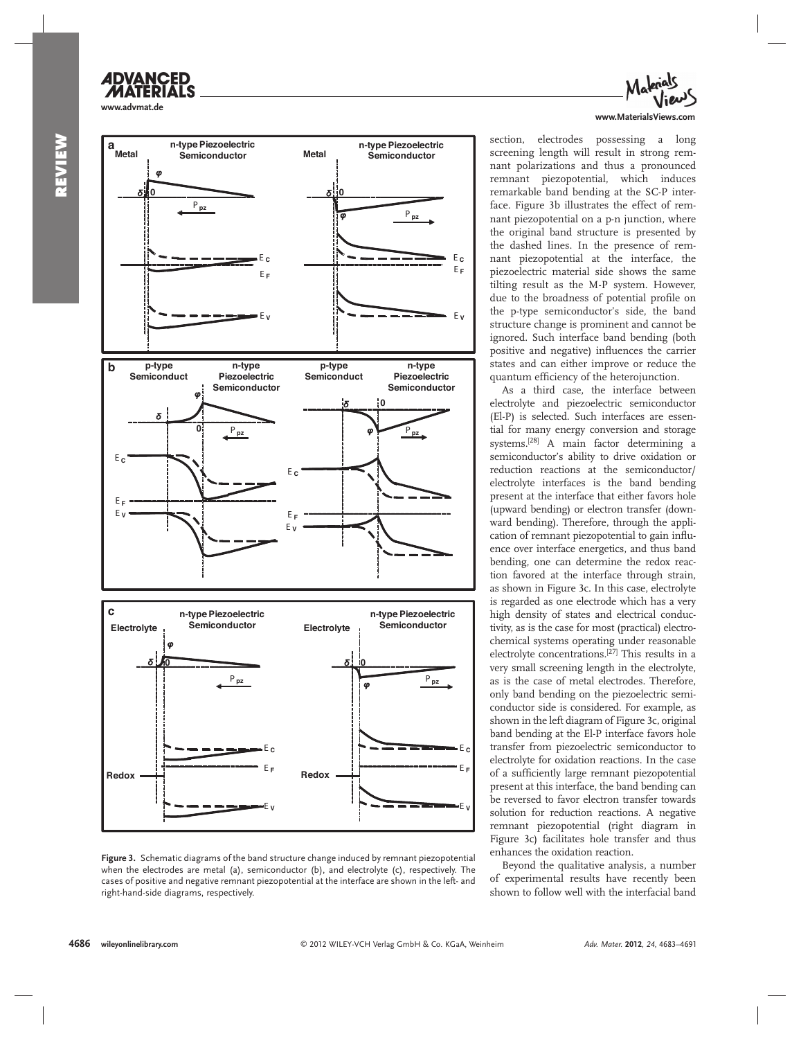



Figure 3. Schematic diagrams of the band structure change induced by remnant piezopotential when the electrodes are metal (a), semiconductor (b), and electrolyte (c), respectively. The cases of positive and negative remnant piezopotential at the interface are shown in the left- and right-hand-side diagrams, respectively.



section, electrodes possessing a long screening length will result in strong remnant polarizations and thus a pronounced remnant piezopotential, which induces remarkable band bending at the SC-P interface. Figure 3b illustrates the effect of remnant piezopotential on a p-n junction, where the original band structure is presented by the dashed lines. In the presence of remnant piezopotential at the interface, the piezoelectric material side shows the same tilting result as the M-P system. However, due to the broadness of potential profile on the p-type semiconductor's side, the band structure change is prominent and cannot be ignored. Such interface band bending (both positive and negative) influences the carrier states and can either improve or reduce the quantum efficiency of the heterojunction.

 As a third case, the interface between electrolyte and piezoelectric semiconductor (El-P) is selected. Such interfaces are essential for many energy conversion and storage systems. [28] A main factor determining a semiconductor's ability to drive oxidation or reduction reactions at the semiconductor/ electrolyte interfaces is the band bending present at the interface that either favors hole (upward bending) or electron transfer (downward bending). Therefore, through the application of remnant piezopotential to gain influence over interface energetics, and thus band bending, one can determine the redox reaction favored at the interface through strain, as shown in Figure 3c. In this case, electrolyte is regarded as one electrode which has a very high density of states and electrical conductivity, as is the case for most (practical) electrochemical systems operating under reasonable electrolyte concentrations.<sup>[27]</sup> This results in a very small screening length in the electrolyte, as is the case of metal electrodes. Therefore, only band bending on the piezoelectric semiconductor side is considered. For example, as shown in the left diagram of Figure 3c, original band bending at the El-P interface favors hole transfer from piezoelectric semiconductor to electrolyte for oxidation reactions. In the case of a sufficiently large remnant piezopotential present at this interface, the band bending can be reversed to favor electron transfer towards solution for reduction reactions. A negative remnant piezopotential (right diagram in Figure 3c) facilitates hole transfer and thus enhances the oxidation reaction.

 Beyond the qualitative analysis, a number of experimental results have recently been shown to follow well with the interfacial band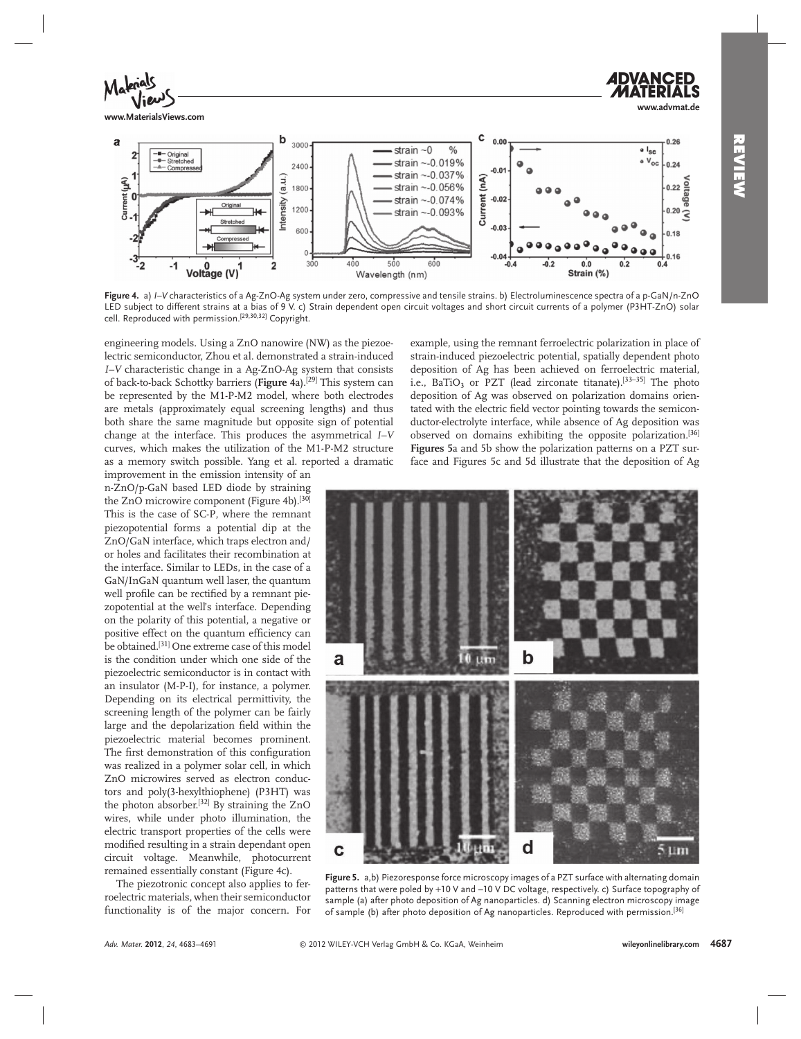

 **Figure 4 .** a) *I–V* characteristics of a Ag-ZnO-Ag system under zero, compressive and tensile strains. b) Electroluminescence spectra of a p-GaN/n-ZnO LED subject to different strains at a bias of 9 V. c) Strain dependent open circuit voltages and short circuit currents of a polymer (P3HT-ZnO) solar cell. Reproduced with permission.<sup>[29,30,32]</sup> Copyright.

engineering models. Using a ZnO nanowire (NW) as the piezoelectric semiconductor, Zhou et al *.* demonstrated a strain-induced *I–V* characteristic change in a Ag-ZnO-Ag system that consists of back-to-back Schottky barriers (Figure 4a).<sup>[29]</sup> This system can be represented by the M1-P-M2 model, where both electrodes are metals (approximately equal screening lengths) and thus both share the same magnitude but opposite sign of potential change at the interface. This produces the asymmetrical *I–V*  curves, which makes the utilization of the M1-P-M2 structure as a memory switch possible. Yang et al *.* reported a dramatic

improvement in the emission intensity of an n-ZnO/p-GaN based LED diode by straining the ZnO microwire component (Figure 4b).<sup>[30]</sup> This is the case of SC-P, where the remnant piezopotential forms a potential dip at the ZnO/GaN interface, which traps electron and/ or holes and facilitates their recombination at the interface. Similar to LEDs, in the case of a GaN/InGaN quantum well laser, the quantum well profile can be rectified by a remnant piezopotential at the well's interface. Depending on the polarity of this potential, a negative or positive effect on the quantum efficiency can be obtained.<sup>[31]</sup> One extreme case of this model is the condition under which one side of the piezoelectric semiconductor is in contact with an insulator (M-P-I), for instance, a polymer. Depending on its electrical permittivity, the screening length of the polymer can be fairly large and the depolarization field within the piezoelectric material becomes prominent. The first demonstration of this configuration was realized in a polymer solar cell, in which ZnO microwires served as electron conductors and poly(3-hexylthiophene) (P3HT) was the photon absorber.<sup>[32]</sup> By straining the ZnO wires, while under photo illumination, the electric transport properties of the cells were modified resulting in a strain dependant open circuit voltage. Meanwhile, photocurrent remained essentially constant (Figure 4c).

 The piezotronic concept also applies to ferroelectric materials, when their semiconductor functionality is of the major concern. For example, using the remnant ferroelectric polarization in place of strain-induced piezoelectric potential, spatially dependent photo deposition of Ag has been achieved on ferroelectric material, i.e., BaTiO<sub>3</sub> or PZT (lead zirconate titanate).<sup>[33–35]</sup> The photo deposition of Ag was observed on polarization domains orientated with the electric field vector pointing towards the semiconductor-electrolyte interface, while absence of Ag deposition was observed on domains exhibiting the opposite polarization.<sup>[36]</sup> Figures 5a and 5b show the polarization patterns on a PZT surface and Figures 5c and 5d illustrate that the deposition of Ag



Figure 5. a,b) Piezoresponse force microscopy images of a PZT surface with alternating domain patterns that were poled by + 10 V and –10 V DC voltage, respectively. c) Surface topography of sample (a) after photo deposition of Ag nanoparticles. d) Scanning electron microscopy image of sample (b) after photo deposition of Ag nanoparticles. Reproduced with permission. [36]

**REVIEW**

REVIEW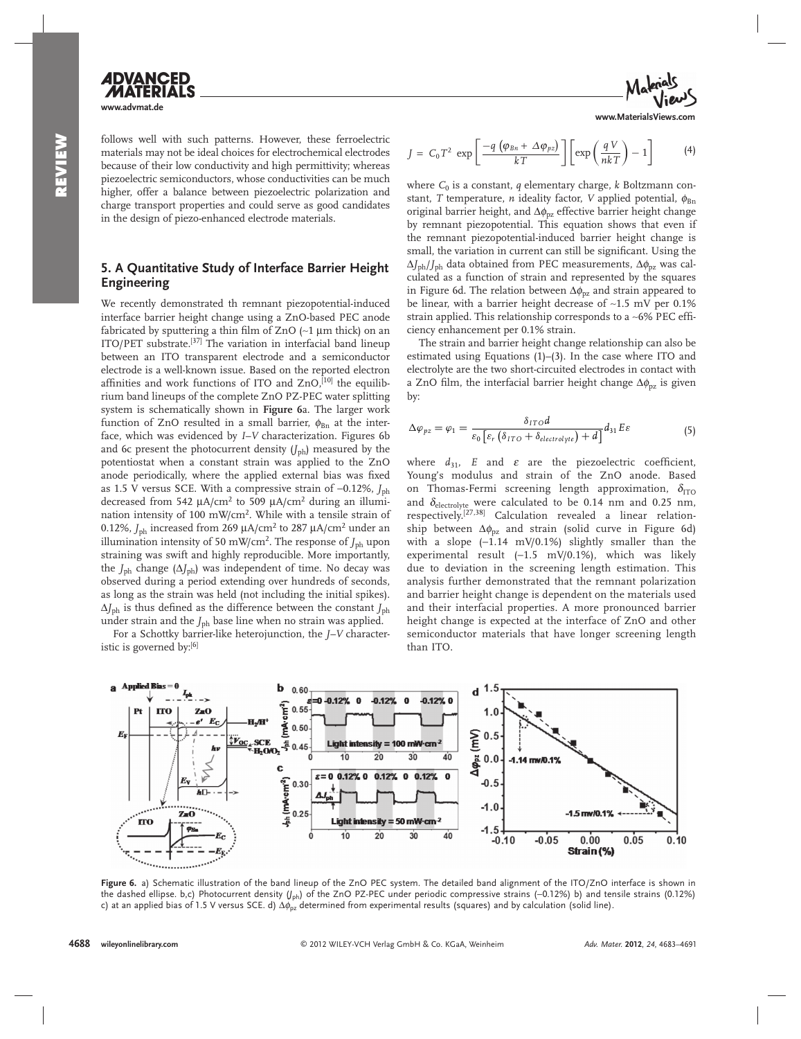**www.MaterialsViews.com**

follows well with such patterns. However, these ferroelectric materials may not be ideal choices for electrochemical electrodes because of their low conductivity and high permittivity; whereas piezoelectric semiconductors, whose conductivities can be much higher, offer a balance between piezoelectric polarization and charge transport properties and could serve as good candidates in the design of piezo-enhanced electrode materials.

### **5. A Quantitative Study of Interface Barrier Height Engineering**

 We recently demonstrated th remnant piezopotential-induced interface barrier height change using a ZnO-based PEC anode fabricated by sputtering a thin film of ZnO (~1 µm thick) on an ITO/PET substrate.<sup>[37]</sup> The variation in interfacial band lineup between an ITO transparent electrode and a semiconductor electrode is a well-known issue. Based on the reported electron affinities and work functions of ITO and ZnO,<sup>[10]</sup> the equilibrium band lineups of the complete ZnO PZ-PEC water splitting system is schematically shown in **Figure 6** a. The larger work function of ZnO resulted in a small barrier,  $\phi_{Bn}$  at the interface, which was evidenced by *I*–*V* characterization. Figures 6b and 6c present the photocurrent density  $(J_{\text{ph}})$  measured by the potentiostat when a constant strain was applied to the ZnO anode periodically, where the applied external bias was fixed as 1.5 V versus SCE. With a compressive strain of -0.12%, *J*<sub>ph</sub> decreased from 542  $\mu$ A/cm<sup>2</sup> to 509  $\mu$ A/cm<sup>2</sup> during an illumination intensity of 100 mW/cm<sup>2</sup>. While with a tensile strain of 0.12%,  $J_{\text{ph}}$  increased from 269 μA/cm<sup>2</sup> to 287 μA/cm<sup>2</sup> under an illumination intensity of 50 mW/cm 2 . The response of *J*ph upon straining was swift and highly reproducible. More importantly, the  $J_{ph}$  change  $(\Delta J_{ph})$  was independent of time. No decay was observed during a period extending over hundreds of seconds, as long as the strain was held (not including the initial spikes).  $\Delta J_{\text{nh}}$  is thus defined as the difference between the constant  $J_{\text{ph}}$ under strain and the  $J_{ph}$  base line when no strain was applied.

 For a Schottky barrier-like heterojunction, the *J–V* characteristic is governed by:[6]

$$
J = C_0 T^2 \exp\left[\frac{-q \left(\varphi_{Bn} + \Delta \varphi_{pz}\right)}{kT}\right] \left[\exp\left(\frac{q V}{nkT}\right) - 1\right]
$$
 (4)

where *C*<sub>0</sub> is a constant, *q* elementary charge, *k* Boltzmann constant, *T* temperature, *n* ideality factor, *V* applied potential,  $\phi_{\text{Bn}}$ original barrier height, and  $\Delta\phi_{pz}$  effective barrier height change by remnant piezopotential. This equation shows that even if the remnant piezopotential-induced barrier height change is small, the variation in current can still be significant. Using the  $\Delta J_{\text{ph}}/J_{\text{ph}}$  data obtained from PEC measurements,  $\Delta \phi_{\text{pz}}$  was calculated as a function of strain and represented by the squares in Figure 6d. The relation between  $\Delta\phi_{pz}$  and strain appeared to be linear, with a barrier height decrease of ∼ 1.5 mV per 0.1% strain applied. This relationship corresponds to a ~6% PEC efficiency enhancement per 0.1% strain.

 The strain and barrier height change relationship can also be estimated using Equations  $(1)$ – $(3)$ . In the case where ITO and electrolyte are the two short-circuited electrodes in contact with a ZnO film, the interfacial barrier height change  $\Delta\phi_{\text{nz}}$  is given by:

$$
\Delta \varphi_{pz} = \varphi_1 = \frac{\delta_{ITO}d}{\varepsilon_0 \left[\varepsilon_r \left(\delta_{ITO} + \delta_{electrolyte}\right) + d\right]} d_{31} E \varepsilon
$$
\n(5)

where  $d_{31}$ , *E* and  $\varepsilon$  are the piezoelectric coefficient, Young's modulus and strain of the ZnO anode. Based on Thomas-Fermi screening length approximation,  $\delta_{\text{ITO}}$ and  $\delta_{\text{electrolyte}}$  were calculated to be 0.14 nm and 0.25 nm, respectively.<sup>[27,38]</sup> Calculation revealed a linear relationship between  $\Delta\phi_{\text{dz}}$  and strain (solid curve in Figure 6d) with a slope  $(-1.14 \text{ mV}/0.1\%)$  slightly smaller than the experimental result (-1.5 mV/0.1%), which was likely due to deviation in the screening length estimation. This analysis further demonstrated that the remnant polarization and barrier height change is dependent on the materials used and their interfacial properties. A more pronounced barrier height change is expected at the interface of ZnO and other semiconductor materials that have longer screening length than ITO.



Figure 6. a) Schematic illustration of the band lineup of the ZnO PEC system. The detailed band alignment of the ITO/ZnO interface is shown in the dashed ellipse. b,c) Photocurrent density (*J*<sub>ph</sub>) of the ZnO PZ-PEC under periodic compressive strains (−0.12%) b) and tensile strains (0.12%) c) at an applied bias of 1.5 V versus SCE. d)  $Δφ<sub>pz</sub>$  determined from experimental results (squares) and by calculation (solid line).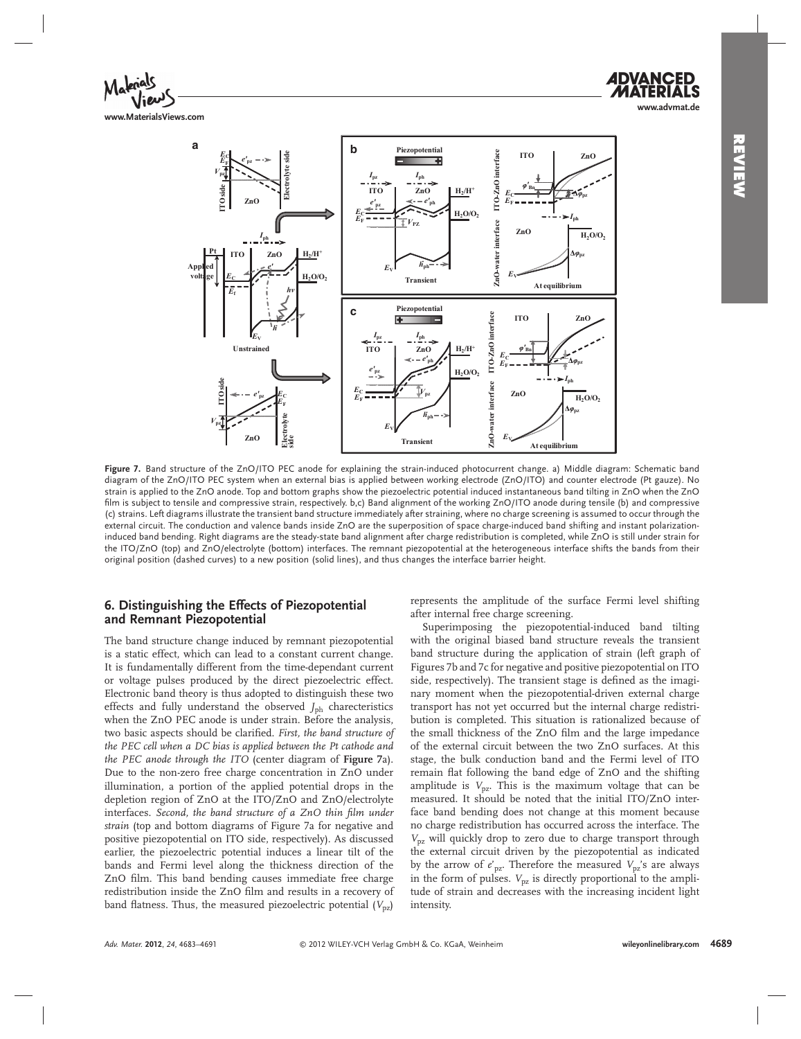

**www.MaterialsViews.com**



Figure 7. Band structure of the ZnO/ITO PEC anode for explaining the strain-induced photocurrent change. a) Middle diagram: Schematic band diagram of the ZnO/ITO PEC system when an external bias is applied between working electrode (ZnO/ITO) and counter electrode (Pt gauze). No strain is applied to the ZnO anode. Top and bottom graphs show the piezoelectric potential induced instantaneous band tilting in ZnO when the ZnO film is subject to tensile and compressive strain, respectively. b,c) Band alignment of the working ZnO/ITO anode during tensile (b) and compressive (c) strains. Left diagrams illustrate the transient band structure immediately after straining, where no charge screening is assumed to occur through the external circuit. The conduction and valence bands inside ZnO are the superposition of space charge-induced band shifting and instant polarizationinduced band bending. Right diagrams are the steady-state band alignment after charge redistribution is completed, while ZnO is still under strain for the ITO/ZnO (top) and ZnO/electrolyte (bottom) interfaces. The remnant piezopotential at the heterogeneous interface shifts the bands from their original position (dashed curves) to a new position (solid lines), and thus changes the interface barrier height.

#### **6. Distinguishing the Effects of Piezopotential and Remnant Piezopotential**

 The band structure change induced by remnant piezopotential is a static effect, which can lead to a constant current change. It is fundamentally different from the time-dependant current or voltage pulses produced by the direct piezoelectric effect. Electronic band theory is thus adopted to distinguish these two effects and fully understand the observed  $J_{\text{ph}}$  charecteristics when the ZnO PEC anode is under strain. Before the analysis, two basic aspects should be clarified. *First*, the band structure of *the PEC cell when a DC bias is applied between the Pt cathode and the PEC anode through the ITO* (center diagram of **Figure 7** a). Due to the non-zero free charge concentration in ZnO under illumination, a portion of the applied potential drops in the depletion region of ZnO at the ITO/ZnO and ZnO/electrolyte interfaces. *Second, the band structure of a ZnO thin film under* strain (top and bottom diagrams of Figure 7a for negative and positive piezopotential on ITO side, respectively). As discussed earlier, the piezoelectric potential induces a linear tilt of the bands and Fermi level along the thickness direction of the ZnO film. This band bending causes immediate free charge redistribution inside the ZnO film and results in a recovery of band flatness. Thus, the measured piezoelectric potential  $(V_{\text{nz}})$ 

represents the amplitude of the surface Fermi level shifting after internal free charge screening.

 Superimposing the piezopotential-induced band tilting with the original biased band structure reveals the transient band structure during the application of strain (left graph of Figures 7b and 7c for negative and positive piezopotential on ITO side, respectively). The transient stage is defined as the imaginary moment when the piezopotential-driven external charge transport has not yet occurred but the internal charge redistribution is completed. This situation is rationalized because of the small thickness of the ZnO film and the large impedance of the external circuit between the two ZnO surfaces. At this stage, the bulk conduction band and the Fermi level of ITO remain flat following the band edge of ZnO and the shifting amplitude is  $V_{\text{pz}}$ . This is the maximum voltage that can be measured. It should be noted that the initial ITO/ZnO interface band bending does not change at this moment because no charge redistribution has occurred across the interface. The *V*pz will quickly drop to zero due to charge transport through the external circuit driven by the piezopotential as indicated by the arrow of  $e'_{pz}$ . Therefore the measured  $V_{pz}$ 's are always in the form of pulses.  $V_{pz}$  is directly proportional to the amplitude of strain and decreases with the increasing incident light intensity.

**www.advmat.de**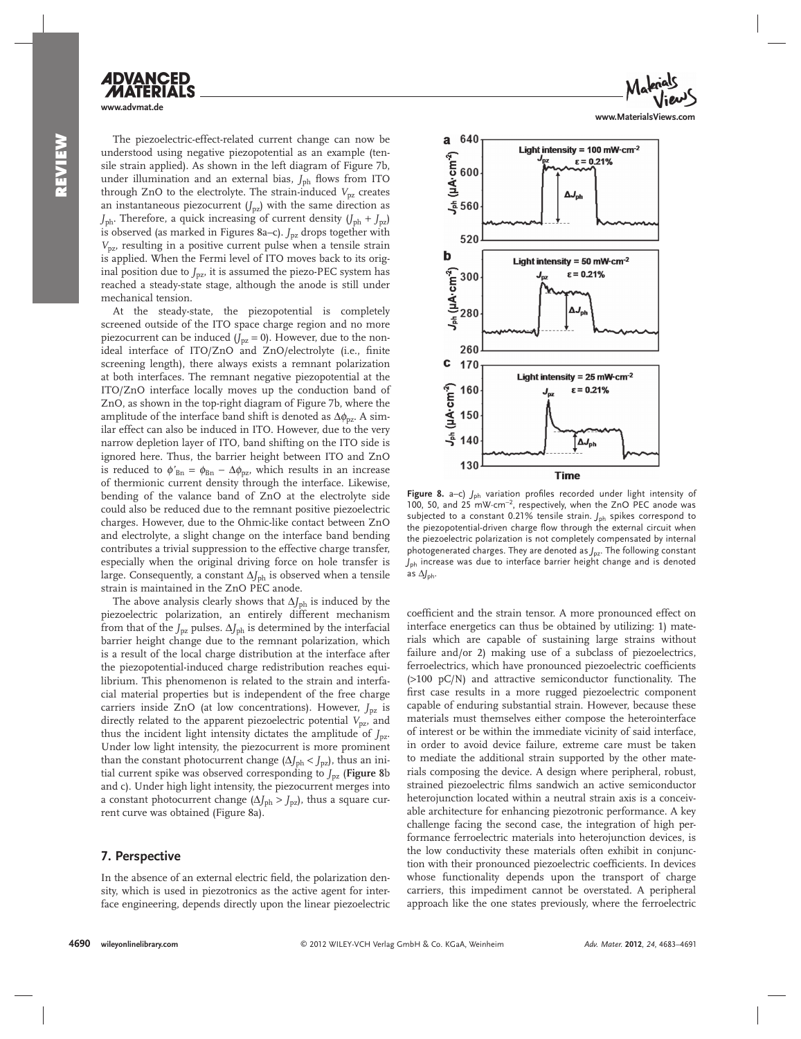**REVIEW**

**www.advmat.de**

**ADVANCED** 

 The piezoelectric-effect-related current change can now be understood using negative piezopotential as an example (tensile strain applied). As shown in the left diagram of Figure 7b, under illumination and an external bias, *J*<sub>ph</sub> flows from ITO through ZnO to the electrolyte. The strain-induced  $V_{pz}$  creates an instantaneous piezocurrent  $(J_{pz})$  with the same direction as  $J_{\text{ph}}$ . Therefore, a quick increasing of current density  $(J_{\text{ph}} + J_{\text{pz}})$ is observed (as marked in Figures 8a–c). *J*<sub>pz</sub> drops together with  $V_{\text{pz}}$ , resulting in a positive current pulse when a tensile strain is applied. When the Fermi level of ITO moves back to its original position due to  $J_{pz}$ , it is assumed the piezo-PEC system has reached a steady-state stage, although the anode is still under mechanical tension.

 At the steady-state, the piezopotential is completely screened outside of the ITO space charge region and no more piezocurrent can be induced  $(J_{pz} = 0)$ . However, due to the nonideal interface of ITO/ZnO and ZnO/electrolyte (i.e., finite screening length), there always exists a remnant polarization at both interfaces. The remnant negative piezopotential at the ITO/ZnO interface locally moves up the conduction band of ZnO, as shown in the top-right diagram of Figure 7b, where the amplitude of the interface band shift is denoted as  $\Delta\phi_{\text{nz}}$ . A similar effect can also be induced in ITO. However, due to the very narrow depletion layer of ITO, band shifting on the ITO side is ignored here. Thus, the barrier height between ITO and ZnO is reduced to  $\phi'_{\text{Bn}} = \phi_{\text{Bn}} - \Delta \phi_{\text{pz}}$ , which results in an increase of thermionic current density through the interface. Likewise, bending of the valance band of ZnO at the electrolyte side could also be reduced due to the remnant positive piezoelectric charges. However, due to the Ohmic-like contact between ZnO and electrolyte, a slight change on the interface band bending contributes a trivial suppression to the effective charge transfer, especially when the original driving force on hole transfer is large. Consequently, a constant  $\Delta J_{\text{ph}}$  is observed when a tensile strain is maintained in the ZnO PEC anode.

The above analysis clearly shows that  $\Delta J_{\rm ph}$  is induced by the piezoelectric polarization, an entirely different mechanism from that of the  $J_{pz}$  pulses.  $\Delta J_{ph}$  is determined by the interfacial barrier height change due to the remnant polarization, which is a result of the local charge distribution at the interface after the piezopotential-induced charge redistribution reaches equilibrium. This phenomenon is related to the strain and interfacial material properties but is independent of the free charge carriers inside ZnO (at low concentrations). However,  $J_{pz}$  is directly related to the apparent piezoelectric potential  $V_{pz}$ , and thus the incident light intensity dictates the amplitude of  $J_{\text{pz}}$ . Under low light intensity, the piezocurrent is more prominent than the constant photocurrent change  $(\Delta J_{\rm ph} < J_{\rm pz})$ , thus an initial current spike was observed corresponding to *J*pz ( **Figure 8** b and c). Under high light intensity, the piezocurrent merges into a constant photocurrent change  $(\Delta J_{\rm ph} > J_{\rm pz})$ , thus a square current curve was obtained (Figure 8a).

#### **7. Perspective**

In the absence of an external electric field, the polarization density, which is used in piezotronics as the active agent for interface engineering, depends directly upon the linear piezoelectric





Figure 8. a-c)  $J_{ph}$  variation profiles recorded under light intensity of 100, 50, and 25 mW · cm<sup>-2</sup>, respectively, when the ZnO PEC anode was subjected to a constant 0.21% tensile strain. *J*<sub>ph</sub> spikes correspond to the piezopotential-driven charge flow through the external circuit when the piezoelectric polarization is not completely compensated by internal photogenerated charges. They are denoted as  $J_{pz}$ . The following constant *J*ph increase was due to interface barrier height change and is denoted as Δ*J*ph .

coefficient and the strain tensor. A more pronounced effect on interface energetics can thus be obtained by utilizing: 1) materials which are capable of sustaining large strains without failure and/or 2) making use of a subclass of piezoelectrics, ferroelectrics, which have pronounced piezoelectric coefficients (>100 pC/N) and attractive semiconductor functionality. The first case results in a more rugged piezoelectric component capable of enduring substantial strain. However, because these materials must themselves either compose the heterointerface of interest or be within the immediate vicinity of said interface, in order to avoid device failure, extreme care must be taken to mediate the additional strain supported by the other materials composing the device. A design where peripheral, robust, strained piezoelectric films sandwich an active semiconductor heterojunction located within a neutral strain axis is a conceivable architecture for enhancing piezotronic performance. A key challenge facing the second case, the integration of high performance ferroelectric materials into heterojunction devices, is the low conductivity these materials often exhibit in conjunction with their pronounced piezoelectric coefficients. In devices whose functionality depends upon the transport of charge carriers, this impediment cannot be overstated. A peripheral approach like the one states previously, where the ferroelectric